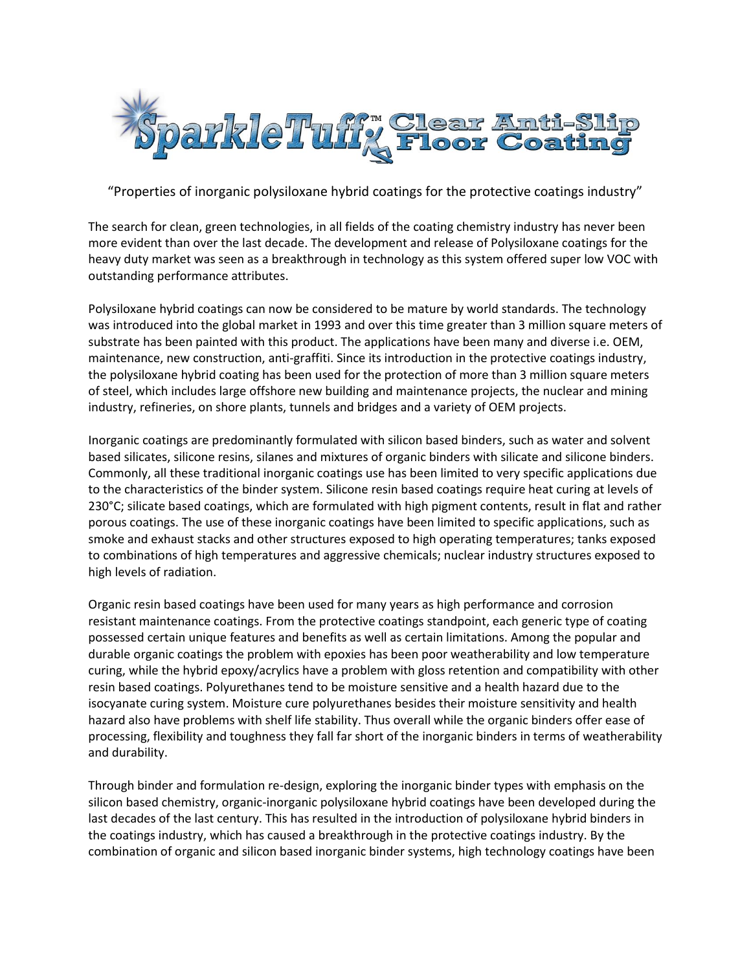

"Properties of inorganic polysiloxane hybrid coatings for the protective coatings industry"

The search for clean, green technologies, in all fields of the coating chemistry industry has never been more evident than over the last decade. The development and release of Polysiloxane coatings for the heavy duty market was seen as a breakthrough in technology as this system offered super low VOC with outstanding performance attributes.

Polysiloxane hybrid coatings can now be considered to be mature by world standards. The technology was introduced into the global market in 1993 and over this time greater than 3 million square meters of substrate has been painted with this product. The applications have been many and diverse i.e. OEM, maintenance, new construction, anti-graffiti. Since its introduction in the protective coatings industry, the polysiloxane hybrid coating has been used for the protection of more than 3 million square meters of steel, which includes large offshore new building and maintenance projects, the nuclear and mining industry, refineries, on shore plants, tunnels and bridges and a variety of OEM projects.

Inorganic coatings are predominantly formulated with silicon based binders, such as water and solvent based silicates, silicone resins, silanes and mixtures of organic binders with silicate and silicone binders. Commonly, all these traditional inorganic coatings use has been limited to very specific applications due to the characteristics of the binder system. Silicone resin based coatings require heat curing at levels of 230°C; silicate based coatings, which are formulated with high pigment contents, result in flat and rather porous coatings. The use of these inorganic coatings have been limited to specific applications, such as smoke and exhaust stacks and other structures exposed to high operating temperatures; tanks exposed to combinations of high temperatures and aggressive chemicals; nuclear industry structures exposed to high levels of radiation.

Organic resin based coatings have been used for many years as high performance and corrosion resistant maintenance coatings. From the protective coatings standpoint, each generic type of coating possessed certain unique features and benefits as well as certain limitations. Among the popular and durable organic coatings the problem with epoxies has been poor weatherability and low temperature curing, while the hybrid epoxy/acrylics have a problem with gloss retention and compatibility with other resin based coatings. Polyurethanes tend to be moisture sensitive and a health hazard due to the isocyanate curing system. Moisture cure polyurethanes besides their moisture sensitivity and health hazard also have problems with shelf life stability. Thus overall while the organic binders offer ease of processing, flexibility and toughness they fall far short of the inorganic binders in terms of weatherability and durability.

Through binder and formulation re-design, exploring the inorganic binder types with emphasis on the silicon based chemistry, organic-inorganic polysiloxane hybrid coatings have been developed during the last decades of the last century. This has resulted in the introduction of polysiloxane hybrid binders in the coatings industry, which has caused a breakthrough in the protective coatings industry. By the combination of organic and silicon based inorganic binder systems, high technology coatings have been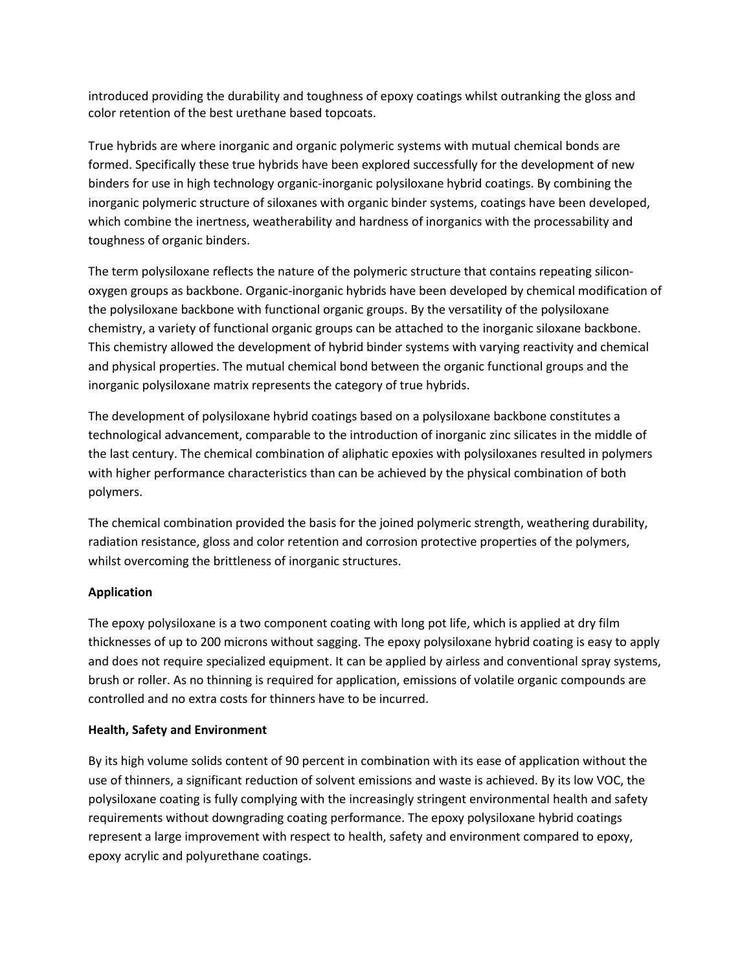introduced providing the durability and toughness of epoxy coatings whilst outranking the gloss and color retention of the best urethane based topcoats.

True hybrids are where inorganic and organic polymeric systems with mutual chemical bonds are formed. Specifically these true hybrids have been explored successfully for the development of new binders for use in high technology organic-inorganic polysiloxane hybrid coatings. By combining the inorganic polymeric structure of siloxanes with organic binder systems, coatings have been developed, which combine the inertness, weatherability and hardness of inorganics with the processability and toughness of organic binders.

The term polysiloxane reflects the nature of the polymeric structure that contains repeating siliconoxygen groups as backbone. Organic-inorganic hybrids have been developed by chemical modification of the polysiloxane backbone with functional organic groups. By the versatility of the polysiloxane chemistry, a variety of functional organic groups can be attached to the inorganic siloxane backbone. This chemistry allowed the development of hybrid binder systems with varying reactivity and chemical and physical properties. The mutual chemical bond between the organic functional groups and the inorganic polysiloxane matrix represents the category of true hybrids.

The development of polysiloxane hybrid coatings based on a polysiloxane backbone constitutes a technological advancement, comparable to the introduction of inorganic zinc silicates in the middle of the last century. The chemical combination of aliphatic epoxies with polysiloxanes resulted in polymers with higher performance characteristics than can be achieved by the physical combination of both polymers.

The chemical combination provided the basis for the joined polymeric strength, weathering durability, radiation resistance, gloss and color retention and corrosion protective properties of the polymers, whilst overcoming the brittleness of inorganic structures.

## **Application**

The epoxy polysiloxane is a two component coating with long pot life, which is applied at dry film thicknesses of up to 200 microns without sagging. The epoxy polysiloxane hybrid coating is easy to apply and does not require specialized equipment. It can be applied by airless and conventional spray systems, brush or roller. As no thinning is required for application, emissions of volatile organic compounds are controlled and no extra costs for thinners have to be incurred.

## **Health, Safety and Environment**

By its high volume solids content of 90 percent in combination with its ease of application without the use of thinners, a significant reduction of solvent emissions and waste is achieved. By its low VOC, the polysiloxane coating is fully complying with the increasingly stringent environmental health and safety requirements without downgrading coating performance. The epoxy polysiloxane hybrid coatings represent a large improvement with respect to health, safety and environment compared to epoxy, epoxy acrylic and polyurethane coatings.